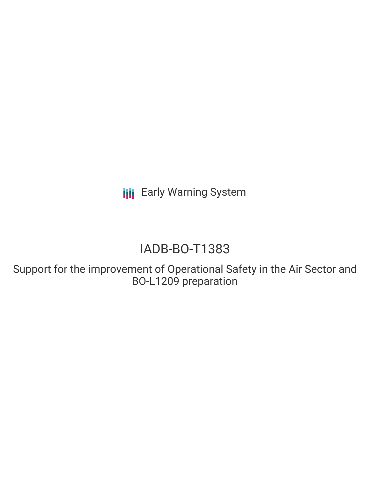**III** Early Warning System

# IADB-BO-T1383

Support for the improvement of Operational Safety in the Air Sector and BO-L1209 preparation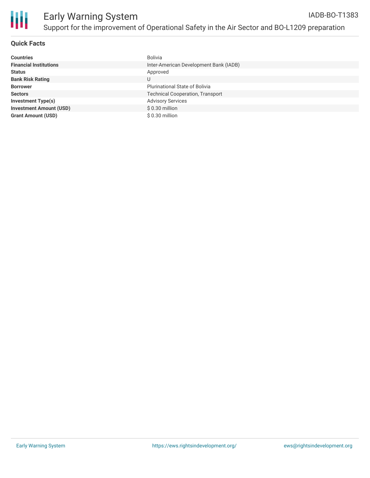

## **Quick Facts**

| <b>Countries</b>               | Bolivia                                 |
|--------------------------------|-----------------------------------------|
| <b>Financial Institutions</b>  | Inter-American Development Bank (IADB)  |
| <b>Status</b>                  | Approved                                |
| <b>Bank Risk Rating</b>        | U                                       |
| <b>Borrower</b>                | <b>Plurinational State of Bolivia</b>   |
| <b>Sectors</b>                 | <b>Technical Cooperation, Transport</b> |
| <b>Investment Type(s)</b>      | <b>Advisory Services</b>                |
| <b>Investment Amount (USD)</b> | $$0.30$ million                         |
| <b>Grant Amount (USD)</b>      | $$0.30$ million                         |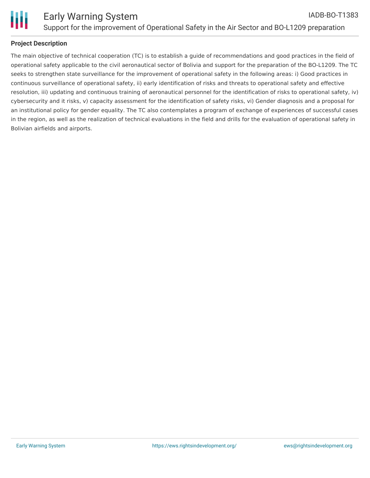

## **Project Description**

The main objective of technical cooperation (TC) is to establish a guide of recommendations and good practices in the field of operational safety applicable to the civil aeronautical sector of Bolivia and support for the preparation of the BO-L1209. The TC seeks to strengthen state surveillance for the improvement of operational safety in the following areas: i) Good practices in continuous surveillance of operational safety, ii) early identification of risks and threats to operational safety and effective resolution, iii) updating and continuous training of aeronautical personnel for the identification of risks to operational safety, iv) cybersecurity and it risks, v) capacity assessment for the identification of safety risks, vi) Gender diagnosis and a proposal for an institutional policy for gender equality. The TC also contemplates a program of exchange of experiences of successful cases in the region, as well as the realization of technical evaluations in the field and drills for the evaluation of operational safety in Bolivian airfields and airports.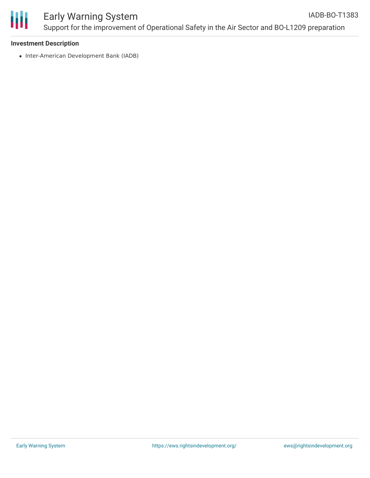

#### **Investment Description**

• Inter-American Development Bank (IADB)